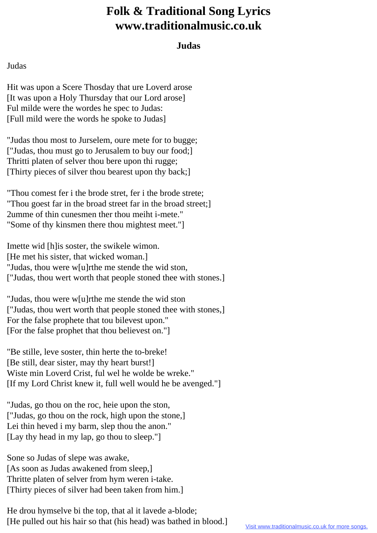## **Folk & Traditional Song Lyrics www.traditionalmusic.co.uk**

## **Judas**

Judas

Hit was upon a Scere Thosday that ure Loverd arose [It was upon a Holy Thursday that our Lord arose] Ful milde were the wordes he spec to Judas: [Full mild were the words he spoke to Judas]

"Judas thou most to Jurselem, oure mete for to bugge; ["Judas, thou must go to Jerusalem to buy our food;] Thritti platen of selver thou bere upon thi rugge; [Thirty pieces of silver thou bearest upon thy back;]

"Thou comest fer i the brode stret, fer i the brode strete; "Thou goest far in the broad street far in the broad street;] 2umme of thin cunesmen ther thou meiht i-mete." "Some of thy kinsmen there thou mightest meet."]

Imette wid [h] is soster, the swikele wimon. [He met his sister, that wicked woman.] "Judas, thou were w[u]rthe me stende the wid ston, ["Judas, thou wert worth that people stoned thee with stones.]

"Judas, thou were w[u]rthe me stende the wid ston ["Judas, thou wert worth that people stoned thee with stones,] For the false prophete that tou bilevest upon." [For the false prophet that thou believest on."]

"Be stille, leve soster, thin herte the to-breke! [Be still, dear sister, may thy heart burst!] Wiste min Loverd Crist, ful wel he wolde be wreke." [If my Lord Christ knew it, full well would he be avenged."]

"Judas, go thou on the roc, heie upon the ston, ["Judas, go thou on the rock, high upon the stone,] Lei thin heved i my barm, slep thou the anon." [Lay thy head in my lap, go thou to sleep."]

Sone so Judas of slepe was awake, [As soon as Judas awakened from sleep,] Thritte platen of selver from hym weren i-take. [Thirty pieces of silver had been taken from him.]

He drou hymselve bi the top, that al it lavede a-blode; [He pulled out his hair so that (his head) was bathed in blood.]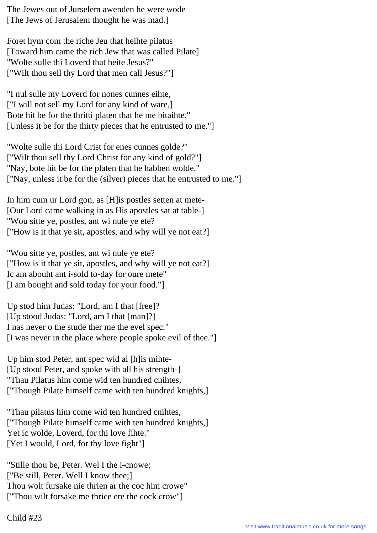The Jewes out of Jurselem awenden he were wode [The Jews of Jerusalem thought he was mad.]

Foret hym com the riche Jeu that heihte pilatus [Toward him came the rich Jew that was called Pilate] "Wolte sulle thi Loverd that heite Jesus?" ["Wilt thou sell thy Lord that men call Jesus?"]

"I nul sulle my Loverd for nones cunnes eihte, ["I will not sell my Lord for any kind of ware,] Bote hit be for the thritti platen that he me bitaihte." [Unless it be for the thirty pieces that he entrusted to me."]

"Wolte sulle thi Lord Crist for enes cunnes golde?" ["Wilt thou sell thy Lord Christ for any kind of gold?"] "Nay, bote hit be for the platen that he habben wolde." ["Nay, unless it be for the (silver) pieces that he entrusted to me."]

In him cum ur Lord gon, as [H]is postles setten at mete- [Our Lord came walking in as His apostles sat at table-] "Wou sitte ye, postles, ant wi nule ye ete? ["How is it that ye sit, apostles, and why will ye not eat?]

"Wou sitte ye, postles, ant wi nule ye ete? ["How is it that ye sit, apostles, and why will ye not eat?] Ic am abouht ant i-sold to-day for oure mete" [I am bought and sold today for your food."]

Up stod him Judas: "Lord, am I that [free]? [Up stood Judas: "Lord, am I that [man]?] I nas never o the stude ther me the evel spec." [I was never in the place where people spoke evil of thee."]

Up him stod Peter, ant spec wid al [h]is mihte- [Up stood Peter, and spoke with all his strength-] "Thau Pilatus him come wid ten hundred cnihtes, ["Though Pilate himself came with ten hundred knights,]

"Thau pilatus him come wid ten hundred cnihtes, ["Though Pilate himself came with ten hundred knights,] Yet ic wolde, Loverd, for thi love fihte." [Yet I would, Lord, for thy love fight"]

"Stille thou be, Peter. Wel I the i-cnowe; ["Be still, Peter. Well I know thee:] Thou wolt fursake nie thrien ar the coc him crowe" ["Thou wilt forsake me thrice ere the cock crow"]